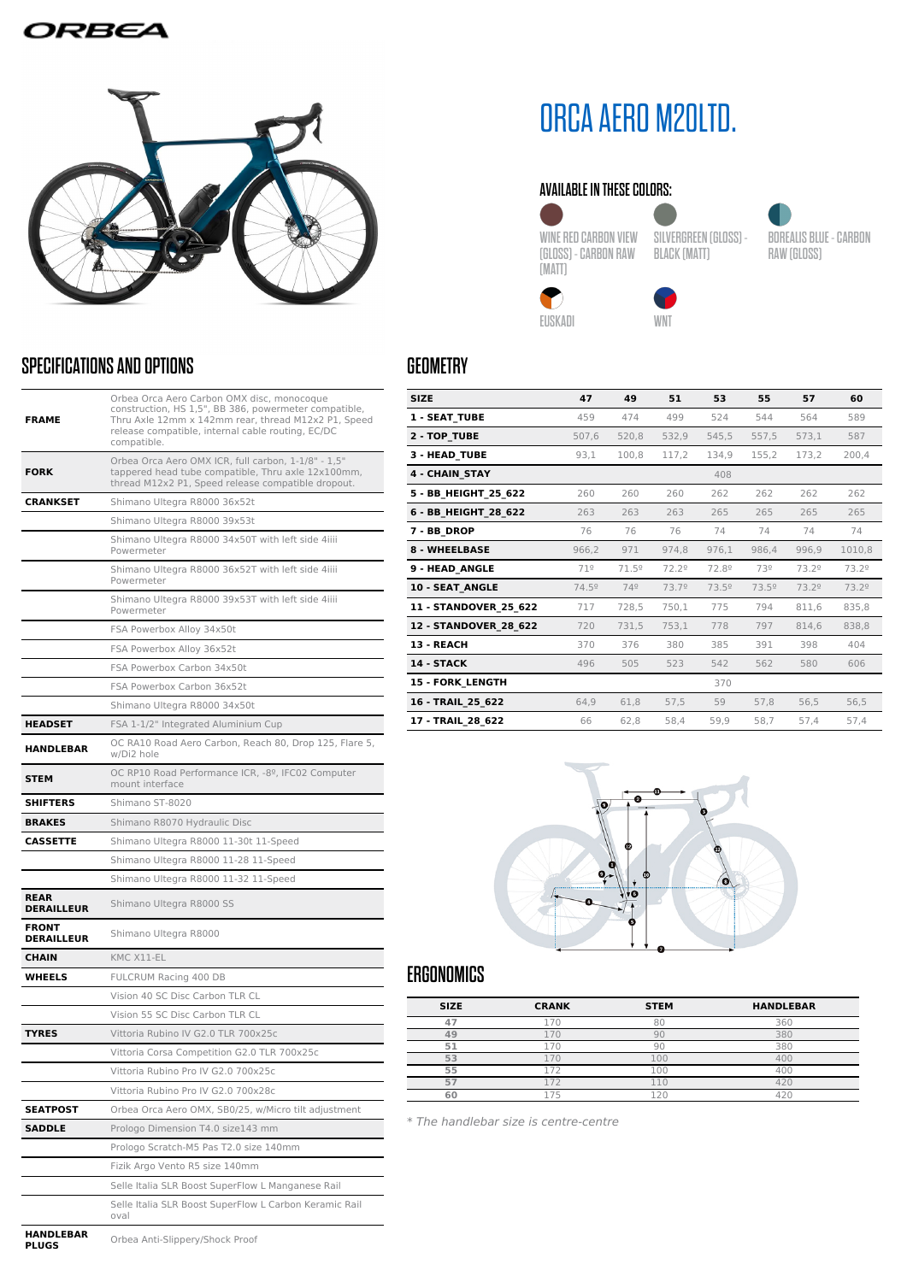# **IRBEA**



# SPECIFICATIONS AND OPTIONS

| <b>FRAME</b>                      | Orbea Orca Aero Carbon OMX disc, monocoque<br>construction, HS 1,5", BB 386, powermeter compatible,<br>Thru Axle 12mm x 142mm rear, thread M12x2 P1, Speed<br>release compatible, internal cable routing, EC/DC<br>compatible. |  |
|-----------------------------------|--------------------------------------------------------------------------------------------------------------------------------------------------------------------------------------------------------------------------------|--|
| <b>FORK</b>                       | Orbea Orca Aero OMX ICR, full carbon, 1-1/8" - 1,5"<br>tappered head tube compatible, Thru axle 12x100mm,<br>thread M12x2 P1, Speed release compatible dropout.                                                                |  |
| <b>CRANKSET</b>                   | Shimano Ultegra R8000 36x52t                                                                                                                                                                                                   |  |
|                                   | Shimano Ultegra R8000 39x53t                                                                                                                                                                                                   |  |
|                                   | Shimano Ultegra R8000 34x50T with left side 4iiii<br>Powermeter                                                                                                                                                                |  |
|                                   | Shimano Ultegra R8000 36x52T with left side 4iiii<br>Powermeter                                                                                                                                                                |  |
|                                   | Shimano Ultegra R8000 39x53T with left side 4iiii<br>Powermeter                                                                                                                                                                |  |
|                                   | FSA Powerbox Alloy 34x50t                                                                                                                                                                                                      |  |
|                                   | FSA Powerbox Alloy 36x52t                                                                                                                                                                                                      |  |
|                                   | FSA Powerbox Carbon 34x50t                                                                                                                                                                                                     |  |
|                                   | FSA Powerbox Carbon 36x52t                                                                                                                                                                                                     |  |
|                                   | Shimano Ultegra R8000 34x50t                                                                                                                                                                                                   |  |
| <b>HEADSET</b>                    | FSA 1-1/2" Integrated Aluminium Cup                                                                                                                                                                                            |  |
| <b>HANDLEBAR</b>                  | OC RA10 Road Aero Carbon, Reach 80, Drop 125, Flare 5,<br>w/Di2 hole                                                                                                                                                           |  |
| <b>STEM</b>                       | OC RP10 Road Performance ICR, -8º, IFC02 Computer<br>mount interface                                                                                                                                                           |  |
| <b>SHIFTERS</b>                   | Shimano ST-8020                                                                                                                                                                                                                |  |
| <b>BRAKES</b>                     | Shimano R8070 Hydraulic Disc                                                                                                                                                                                                   |  |
| CASSETTE                          | Shimano Ultegra R8000 11-30t 11-Speed                                                                                                                                                                                          |  |
|                                   | Shimano Ultegra R8000 11-28 11-Speed                                                                                                                                                                                           |  |
|                                   | Shimano Ultegra R8000 11-32 11-Speed                                                                                                                                                                                           |  |
| <b>REAR</b><br><b>DERAILLEUR</b>  | Shimano Ultegra R8000 SS                                                                                                                                                                                                       |  |
| <b>FRONT</b><br><b>DERAILLEUR</b> | Shimano Ultegra R8000                                                                                                                                                                                                          |  |
| <b>CHAIN</b>                      | KMC X11-EL                                                                                                                                                                                                                     |  |
| WHEELS                            | FULCRUM Racing 400 DB                                                                                                                                                                                                          |  |
|                                   | Vision 40 SC Disc Carbon TLR CL                                                                                                                                                                                                |  |
|                                   | Vision 55 SC Disc Carbon TLR CL                                                                                                                                                                                                |  |
| <b>TYRES</b>                      | Vittoria Rubino IV G2.0 TLR 700x25c                                                                                                                                                                                            |  |
|                                   | Vittoria Corsa Competition G2.0 TLR 700x25c                                                                                                                                                                                    |  |
|                                   | Vittoria Rubino Pro IV G2.0 700x25c                                                                                                                                                                                            |  |
|                                   | Vittoria Rubino Pro IV G2.0 700x28c                                                                                                                                                                                            |  |
| <b>SEATPOST</b>                   | Orbea Orca Aero OMX, SB0/25, w/Micro tilt adjustment                                                                                                                                                                           |  |
| SADDLE                            | Prologo Dimension T4.0 size143 mm                                                                                                                                                                                              |  |
|                                   | Prologo Scratch-M5 Pas T2.0 size 140mm                                                                                                                                                                                         |  |
|                                   | Fizik Argo Vento R5 size 140mm                                                                                                                                                                                                 |  |
|                                   | Selle Italia SLR Boost SuperFlow L Manganese Rail                                                                                                                                                                              |  |
|                                   | Selle Italia SLR Boost SuperFlow L Carbon Keramic Rail<br>oval                                                                                                                                                                 |  |
| EDAD                              |                                                                                                                                                                                                                                |  |

# ORCA AERO M20LTD.

### AVAILABLE IN THESE COLORS:

WINE RED CARBON VIEW (GLOSS) - CARBON RAW (MATT)



BLACK (MATT)

BOREALIS BLUE - CARBON





RAW (GLOSS)

**4 - CHAIN\_STAY** 408

EUSKADI WNT

**SIZE 47 49 51 53 55 57 60 1 - SEAT\_TUBE** 459 474 499 524 544 564 589 **2 - TOP\_TUBE** 507,6 520,8 532,9 545,5 557,5 573,1 587 **3 - HEAD\_TUBE** 93,1 100,8 117,2 134,9 155,2 173,2 200,4

**5 - BB\_HEIGHT\_25\_622** 260 260 260 262 262 262 262 **6 - BB\_HEIGHT\_28\_622** 263 263 263 265 265 265 265 **7 - BB\_DROP** 76 76 76 774 74 74 74 74 **8 - WHEELBASE** 966,2 971 974,8 976,1 986,4 996,9 1010,8 **9 - HEAD\_ANGLE** 71<sup>º</sup> 71.5º 72.2º 72.8º 73<sup>º</sup> 73.2º 73.2º **10 - SEAT\_ANGLE** 74.5º 74º 73.7º 73.5º 73.5º 73.2º 73.2º **11 - STANDOVER\_25\_622** 717 728,5 750,1 775 794 811,6 835,8 **12 - STANDOVER\_28\_622** 720 731,5 753,1 778 797 814,6 838,8 **13 - REACH** 370 376 380 385 391 398 404 **14 - STACK** 496 505 523 542 562 580 606



## **ERGONOMICS**

**GEOMETRY** 

| <b>SIZE</b> | <b>CRANK</b>                | <b>STEM</b>   | <b>HANDLEBAR</b> |
|-------------|-----------------------------|---------------|------------------|
|             |                             | 81            | 360              |
| 49          |                             |               | 380              |
| 51          | 70                          | Qſ            | 380              |
| 53          |                             | 00            | 400              |
| 55          | <b>COLOR</b>                | 100           | 400              |
| 57          |                             |               | 420              |
| 60          | $\rightarrow$ $\rightarrow$ | $\mathcal{D}$ |                  |
|             |                             |               |                  |

\* The handlebar size is centre-centre

**HANDL** 

**Proof** Orbea Anti-Slippery/Shock Proof